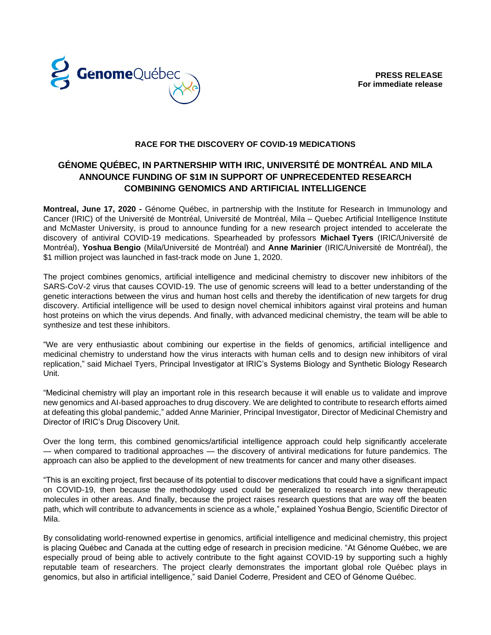



## **RACE FOR THE DISCOVERY OF COVID-19 MEDICATIONS**

# **GÉNOME QUÉBEC, IN PARTNERSHIP WITH IRIC, UNIVERSITÉ DE MONTRÉAL AND MILA ANNOUNCE FUNDING OF \$1M IN SUPPORT OF UNPRECEDENTED RESEARCH COMBINING GENOMICS AND ARTIFICIAL INTELLIGENCE**

**Montreal, June 17, 2020 -** Génome Québec, in partnership with the Institute for Research in Immunology and Cancer (IRIC) of the Université de Montréal, Université de Montréal, Mila – Quebec Artificial Intelligence Institute and McMaster University, is proud to announce funding for a new research project intended to accelerate the discovery of antiviral COVID-19 medications. Spearheaded by professors **Michael Tyers** (IRIC/Université de Montréal), **Yoshua Bengio** (Mila/Université de Montréal) and **Anne Marinier** (IRIC/Université de Montréal), the \$1 million project was launched in fast-track mode on June 1, 2020.

The project combines genomics, artificial intelligence and medicinal chemistry to discover new inhibitors of the SARS-CoV-2 virus that causes COVID-19. The use of genomic screens will lead to a better understanding of the genetic interactions between the virus and human host cells and thereby the identification of new targets for drug discovery. Artificial intelligence will be used to design novel chemical inhibitors against viral proteins and human host proteins on which the virus depends. And finally, with advanced medicinal chemistry, the team will be able to synthesize and test these inhibitors.

"We are very enthusiastic about combining our expertise in the fields of genomics, artificial intelligence and medicinal chemistry to understand how the virus interacts with human cells and to design new inhibitors of viral replication," said Michael Tyers, Principal Investigator at IRIC's Systems Biology and Synthetic Biology Research Unit.

"Medicinal chemistry will play an important role in this research because it will enable us to validate and improve new genomics and AI-based approaches to drug discovery. We are delighted to contribute to research efforts aimed at defeating this global pandemic," added Anne Marinier, Principal Investigator, Director of Medicinal Chemistry and Director of IRIC's Drug Discovery Unit.

Over the long term, this combined genomics/artificial intelligence approach could help significantly accelerate — when compared to traditional approaches — the discovery of antiviral medications for future pandemics. The approach can also be applied to the development of new treatments for cancer and many other diseases.

"This is an exciting project, first because of its potential to discover medications that could have a significant impact on COVID-19, then because the methodology used could be generalized to research into new therapeutic molecules in other areas. And finally, because the project raises research questions that are way off the beaten path, which will contribute to advancements in science as a whole," explained Yoshua Bengio, Scientific Director of Mila.

By consolidating world-renowned expertise in genomics, artificial intelligence and medicinal chemistry, this project is placing Québec and Canada at the cutting edge of research in precision medicine. "At Génome Québec, we are especially proud of being able to actively contribute to the fight against COVID-19 by supporting such a highly reputable team of researchers. The project clearly demonstrates the important global role Québec plays in genomics, but also in artificial intelligence," said Daniel Coderre, President and CEO of Génome Québec.